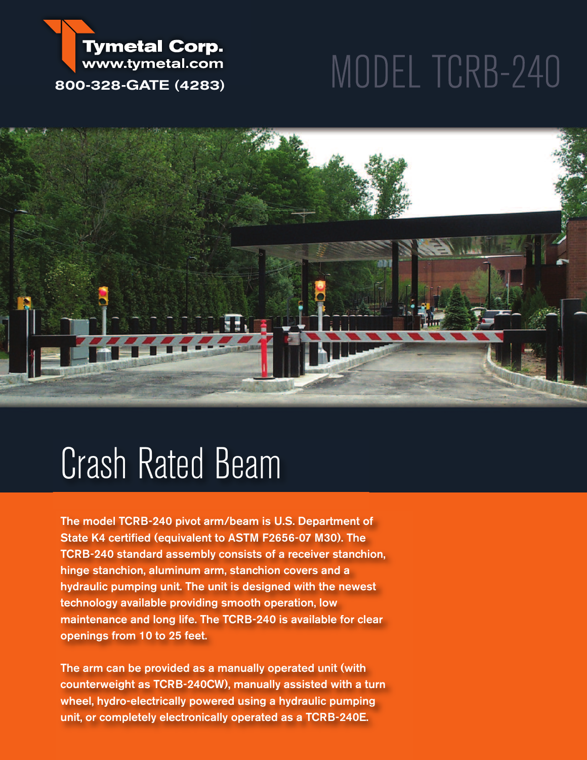#### **Tymetal Corp.** www.tymetal.com **800-328-GATE (4283)**

# MODEL TCRB-240



## Crash Rated Beam

**The model TCRB-240 pivot arm/beam is U.S. Department of State K4 certified (equivalent to ASTM F2656-07 M30). The TCRB-240 standard assembly consists of a receiver stanchion, hinge stanchion, aluminum arm, stanchion covers and a hydraulic pumping unit. The unit is designed with the newest technology available providing smooth operation, low maintenance and long life. The TCRB-240 is available for clear openings from 10 to 25 feet.**

**The arm can be provided as a manually operated unit (with counterweight as TCRB-240CW), manually assisted with a turn wheel, hydro-electrically powered using a hydraulic pumping unit, or completely electronically operated as a TCRB-240E.**